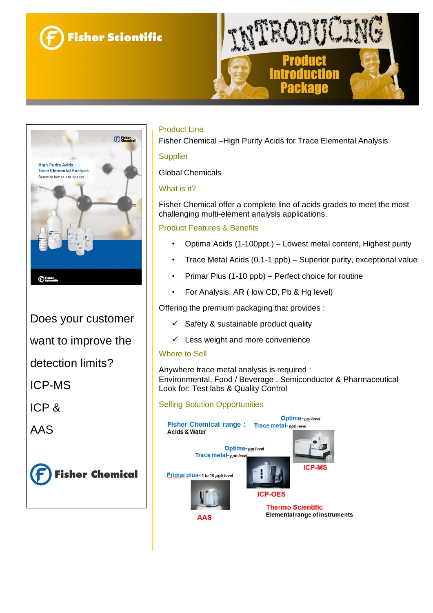



Does your customer

want to improve the

detection limits?

ICP-MS

ICP &

AAS





# Product Line

Fisher Chemical –High Purity Acids for Trace Elemental Analysis

### **Supplier**

Global Chemicals

## What is it?

Fisher Chemical offer a complete line of acids grades to meet the most challenging multi-element analysis applications.

### Product Features & Benefits

- Optima Acids (1-100ppt ) Lowest metal content, Highest purity
- Trace Metal Acids (0.1-1 ppb) Superior purity, exceptional value
- Primar Plus (1-10 ppb) Perfect choice for routine
- For Analysis, AR ( low CD, Pb & Hg level)

Offering the premium packaging that provides :

- $\checkmark$  Safety & sustainable product quality
- $\checkmark$  Less weight and more convenience

### Where to Sell

Anywhere trace metal analysis is required : Environmental, Food / Beverage , Semiconductor & Pharmaceutical Look for: Test labs & Quality Control

# Selling Solution Opportunities